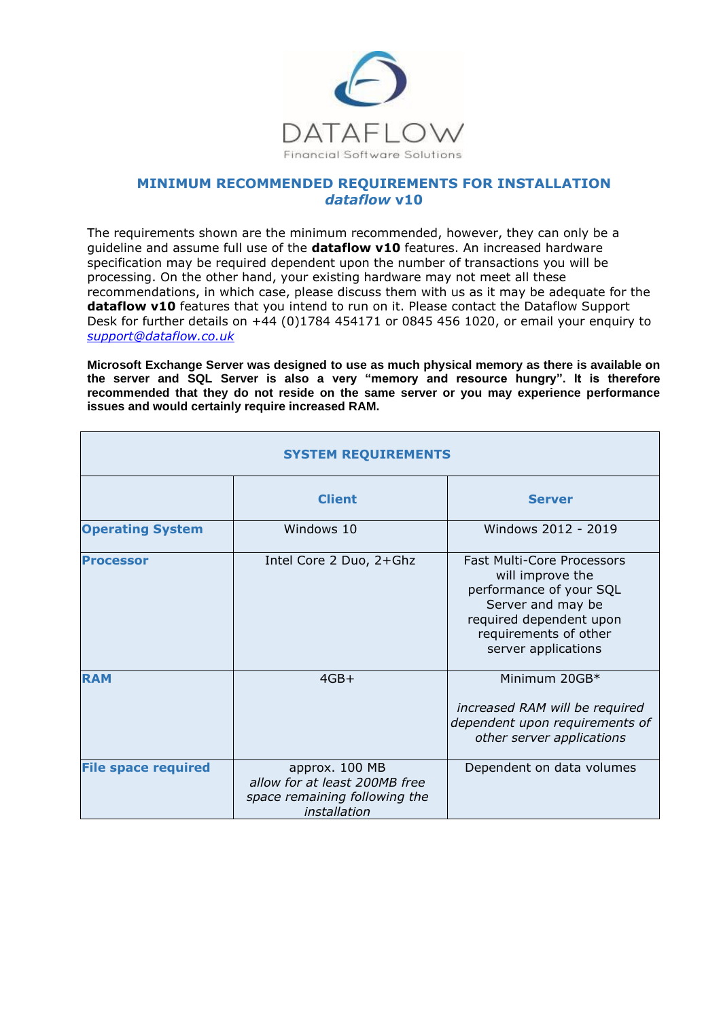

# **MINIMUM RECOMMENDED REQUIREMENTS FOR INSTALLATION** *dataflow* **v10**

The requirements shown are the minimum recommended, however, they can only be a guideline and assume full use of the **dataflow v10** features. An increased hardware specification may be required dependent upon the number of transactions you will be processing. On the other hand, your existing hardware may not meet all these recommendations, in which case, please discuss them with us as it may be adequate for the dataflow v10 features that you intend to run on it. Please contact the Dataflow Support Desk for further details on +44 (0)1784 454171 or 0845 456 1020, or email your enquiry to *[support@dataflow.co.uk](mailto:support@dataflow.co.uk)*

**Microsoft Exchange Server was designed to use as much physical memory as there is available on the server and SQL Server is also a very "memory and resource hungry". It is therefore recommended that they do not reside on the same server or you may experience performance issues and would certainly require increased RAM.**

| <b>SYSTEM REQUIREMENTS</b> |                                                                                                  |                                                                                                                                                                                  |
|----------------------------|--------------------------------------------------------------------------------------------------|----------------------------------------------------------------------------------------------------------------------------------------------------------------------------------|
|                            | <b>Client</b>                                                                                    | <b>Server</b>                                                                                                                                                                    |
| <b>Operating System</b>    | Windows 10                                                                                       | Windows 2012 - 2019                                                                                                                                                              |
| <b>Processor</b>           | Intel Core 2 Duo, 2+Ghz                                                                          | <b>Fast Multi-Core Processors</b><br>will improve the<br>performance of your SQL<br>Server and may be<br>required dependent upon<br>requirements of other<br>server applications |
| <b>RAM</b>                 | $4GB+$                                                                                           | Minimum 20GB*<br>increased RAM will be required<br>dependent upon requirements of<br>other server applications                                                                   |
| <b>File space required</b> | approx. 100 MB<br>allow for at least 200MB free<br>space remaining following the<br>installation | Dependent on data volumes                                                                                                                                                        |